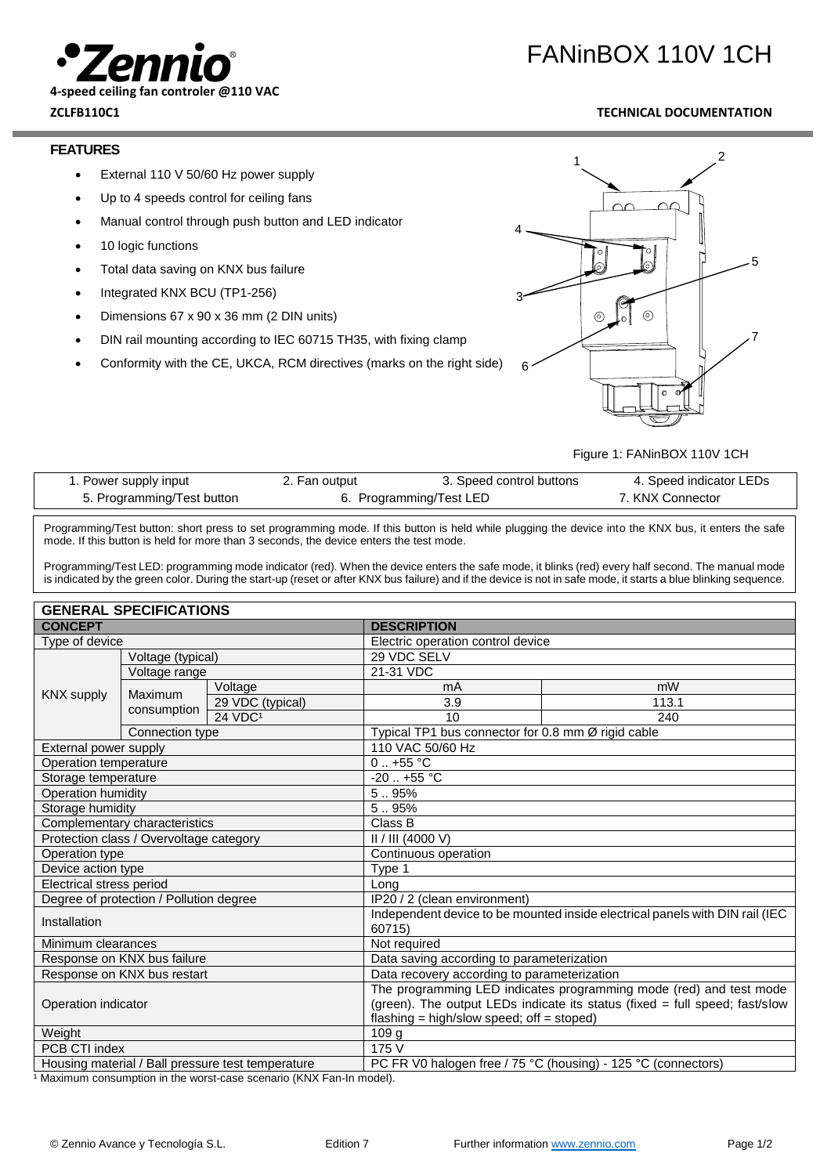

# FANinBOX 110V 1CH

# **ZCLFB110C1 TECHNICAL DOCUMENTATION**

### **FEATURES**

- External 110 V 50/60 Hz power supply
- Up to 4 speeds control for ceiling fans
- Manual control through push button and LED indicator
- 10 logic functions
- Total data saving on KNX bus failure
- Integrated KNX BCU (TP1-256)
- Dimensions 67 x 90 x 36 mm (2 DIN units)
- DIN rail mounting according to IEC 60715 TH35, with fixing clamp
- Conformity with the CE, UKCA, RCM directives (marks on the right side)



Figure 1: FANinBOX 110V 1CH

| 1. Power supply input      | 2. Fan output           | 3. Speed control buttons | 4. Speed indicator LEDs |
|----------------------------|-------------------------|--------------------------|-------------------------|
| 5. Programming/Test button | 6. Programming/Test LED |                          | . KNX Connector         |

Programming/Test button: short press to set programming mode. If this button is held while plugging the device into the KNX bus, it enters the safe mode. If this button is held for more than 3 seconds, the device enters the test mode.

Programming/Test LED: programming mode indicator (red). When the device enters the safe mode, it blinks (red) every half second. The manual mode is indicated by the green color. During the start-up (reset or after KNX bus failure) and if the device is not in safe mode, it starts a blue blinking sequence.

| <b>GENERAL SPECIFICATIONS</b>                     |                 |                                                                                         |                                                                             |                                                    |  |
|---------------------------------------------------|-----------------|-----------------------------------------------------------------------------------------|-----------------------------------------------------------------------------|----------------------------------------------------|--|
| <b>CONCEPT</b>                                    |                 | <b>DESCRIPTION</b>                                                                      |                                                                             |                                                    |  |
| Type of device                                    |                 | Electric operation control device                                                       |                                                                             |                                                    |  |
| Voltage (typical)                                 |                 |                                                                                         | 29 VDC SELV                                                                 |                                                    |  |
|                                                   | Voltage range   |                                                                                         | 21-31 VDC                                                                   |                                                    |  |
|                                                   |                 | Voltage                                                                                 | mA                                                                          | mW                                                 |  |
| <b>KNX</b> supply                                 | <b>Maximum</b>  | 29 VDC (typical)                                                                        | 3.9                                                                         | 113.1                                              |  |
|                                                   | consumption     | 24 VDC <sup>1</sup>                                                                     | 10                                                                          | 240                                                |  |
|                                                   | Connection type |                                                                                         |                                                                             | Typical TP1 bus connector for 0.8 mm Ø rigid cable |  |
| External power supply                             |                 | 110 VAC 50/60 Hz                                                                        |                                                                             |                                                    |  |
| Operation temperature                             |                 | $0.1 + 55$ °C                                                                           |                                                                             |                                                    |  |
| Storage temperature                               |                 | $-20$ $+55$ °C                                                                          |                                                                             |                                                    |  |
| Operation humidity                                |                 | 5.95%                                                                                   |                                                                             |                                                    |  |
| Storage humidity                                  |                 | 5.95%                                                                                   |                                                                             |                                                    |  |
| Complementary characteristics                     |                 | Class B                                                                                 |                                                                             |                                                    |  |
| Protection class / Overvoltage category           |                 | II / III (4000 V)                                                                       |                                                                             |                                                    |  |
| Operation type                                    |                 | Continuous operation                                                                    |                                                                             |                                                    |  |
| Device action type                                |                 | Type 1                                                                                  |                                                                             |                                                    |  |
| Electrical stress period                          |                 | Long                                                                                    |                                                                             |                                                    |  |
| Degree of protection / Pollution degree           |                 |                                                                                         | IP20 / 2 (clean environment)                                                |                                                    |  |
| Installation                                      |                 | Independent device to be mounted inside electrical panels with DIN rail (IEC)<br>60715) |                                                                             |                                                    |  |
| Minimum clearances                                |                 | Not required                                                                            |                                                                             |                                                    |  |
| Response on KNX bus failure                       |                 | Data saving according to parameterization                                               |                                                                             |                                                    |  |
| Response on KNX bus restart                       |                 | Data recovery according to parameterization                                             |                                                                             |                                                    |  |
|                                                   |                 | The programming LED indicates programming mode (red) and test mode                      |                                                                             |                                                    |  |
| Operation indicator                               |                 |                                                                                         | (green). The output LEDs indicate its status (fixed = full speed; fast/slow |                                                    |  |
|                                                   |                 | flashing = high/slow speed; off = stoped)                                               |                                                                             |                                                    |  |
| Weight                                            |                 |                                                                                         | 109 g                                                                       |                                                    |  |
| PCB CTI index                                     |                 | 175 V                                                                                   |                                                                             |                                                    |  |
| Housing material / Ball pressure test temperature |                 |                                                                                         | PC FR V0 halogen free / 75 °C (housing) - 125 °C (connectors)               |                                                    |  |

<sup>1</sup> Maximum consumption in the worst-case scenario (KNX Fan-In model).